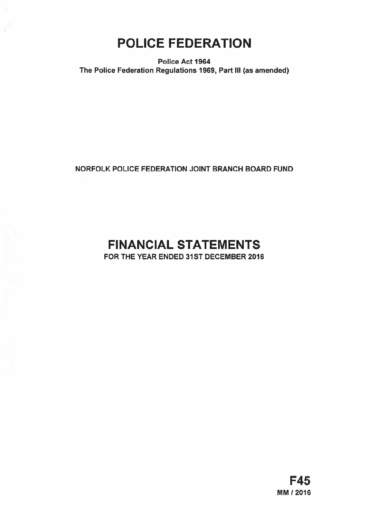# POLICE FEDERATION

Police Act 1964 The Police Federation Regulations 1969, Part Ill (as amended)

# NORFOLK POLICE FEDERATION JOINT BRANCH BOARD FUND

# FINANCIAL STATEMENTS

FOR THE YEAR ENDED 31ST DECEMBER 2016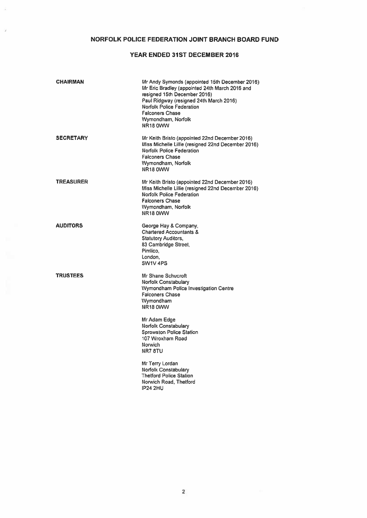# NORFOLK POLICE FEDERATION JOINT BRANCH BOARD FUND

# YEAR ENDED 31ST DECEMBER 2016

| <b>CHAIRMAN</b>  | Mr Andy Symonds (appointed 15th December 2016)<br>Mr Eric Bradley (appointed 24th March 2016 and<br>resigned 15th December 2016)<br>Paul Ridgway (resigned 24th March 2016)<br>Norfolk Police Federation<br><b>Falconers Chase</b><br>Wymondham, Norfolk<br>NR18 0WW                                                                                                                        |
|------------------|---------------------------------------------------------------------------------------------------------------------------------------------------------------------------------------------------------------------------------------------------------------------------------------------------------------------------------------------------------------------------------------------|
| <b>SECRETARY</b> | Mr Keith Bristo (appointed 22nd December 2016)<br>Miss Michelle Lillie (resigned 22nd December 2016)<br>Norfolk Police Federation<br><b>Falconers Chase</b><br>Wymondham, Norfolk<br>NR18 0WW                                                                                                                                                                                               |
| <b>TREASURER</b> | Mr Keith Bristo (appointed 22nd December 2016)<br>Miss Michelle Lillie (resigned 22nd December 2016)<br><b>Norfolk Police Federation</b><br><b>Falconers Chase</b><br>Wymondham, Norfolk<br><b>NR18 0WW</b>                                                                                                                                                                                 |
| <b>AUDITORS</b>  | George Hay & Company,<br><b>Chartered Accountants &amp;</b><br><b>Statutory Auditors.</b><br>83 Cambridge Street,<br>Pimlico.<br>London,<br>SW1V 4PS                                                                                                                                                                                                                                        |
| <b>TRUSTEES</b>  | Mr Shane Schucroft<br><b>Norfolk Constabulary</b><br>Wymondham Police Investigation Centre<br><b>Falconers Chase</b><br>Wymondham<br>NR18 0WW<br>Mr Adam Edge<br>Norfolk Constabulary<br><b>Sprowston Police Station</b><br>107 Wroxham Road<br>Norwich<br>NR78TU<br>Mr Terry Lordan<br>Norfolk Constabulary<br><b>Thetford Police Station</b><br>Norwich Road, Thetford<br><b>IP24 2HU</b> |
|                  |                                                                                                                                                                                                                                                                                                                                                                                             |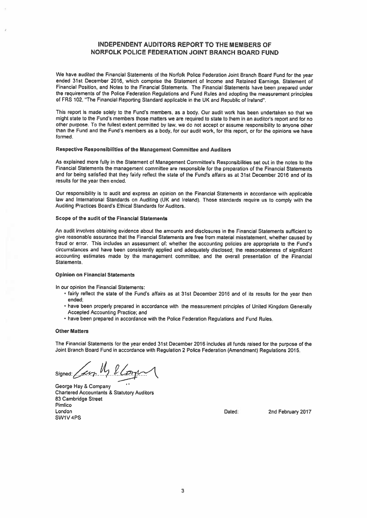# INDEPENDENT AUDITORS REPORT TO THE MEMBERS OF NORFOLK POLICE FEDERATION JOINT BRANCH BOARD FUND

We have audited the Financial Statements of the Norfolk Police Federation Joint Branch Board Fund for the year ended 31st December 2016, which comprise the Statement of Income and Retained Earnings, Statement of Financial Position, and Notes to the Financial Statements. The Financial Statements have been prepare<sup>d</sup> under the requirements of the Police Federation Regulations and Fund Rules and adopting the measurement principles of FRS 102, "The Financial Reporting Standard applicable in the UK and Republic of Ireland".

This repor<sup>t</sup> is made solely to the Fund's members, as <sup>a</sup> body. Our audit work has been undertaken so that we might state to the Fund's members those matters we are required to state to them in an auditor's repor<sup>t</sup> and for no other purpose. To the fullest extent permitted by law, we do not accep<sup>t</sup> or assume responsibility to anyone other than the Fund and the Fund's members as <sup>a</sup> body, for our audit work, for this report. or for the opinions we have formed.

## Respective Responsibilities of the Management Committee and Auditors

As explained more fully in the Statement of Management Committee's Responsibilities set out in the notes to the Financial Statements the managemen<sup>t</sup> committee are responsible for the preparation of the Financial Statements and for being satisfied that they fairly reflect the state of the Fund's affairs as at 31st December 2016 and of its results for the year then ended.

Our responsibility is to audit and express an opinion on the Financial Statements in accordance with applicable law and International Standards on Auditing (UK and Ireland). Those standards require us to comply with the Auditing Practices Board's Ethical Standards for Auditors.

## Scope of the audit of the Financial Statements

An audit involves obtaining evidence about the amounts and disclosures in the Financial Statements sufficient to <sup>g</sup>ive reasonable assurance that the Financial Statements are free from material misstatement, whether caused by fraud or error. This includes an assessment of: whether the accounting policies are appropriate to the Fund's circumstances and have been consistently applied and adequately disclosed; the reasonableness of significant accounting estimates made by the managemen<sup>t</sup> committee; and the overall presentation of the Financial Statements.

## Opinion on Financial Statements

In our opinion the Financial Statements:

- fairly reflect the state of the Fund's affairs as at 31st December 2016 and of its results for the year then ended;
- have been properly prepare<sup>d</sup> in accordance with the measurement principles of United Kingdom Generally Accepted Accounting Practice; and
- have been prepared in accordance with the Police Federation Regulations and Fund Rules.

#### Other Matters

The Financial Statements for the year ended 31st December 2016 includes all funds raised for the purpose of the Joint Branch Board Fund in accordance with Regulation <sup>2</sup> Police Federation (Amendment) Regulations 2015.

signed:  $\sqrt{\frac{\mu}{\mu}}$  belonger

George Hay & Company Chartered Accountants & Statutory Auditors 83 Cambridge Street Pimlico London Dated: 2nd February 2017 SW1V 4PS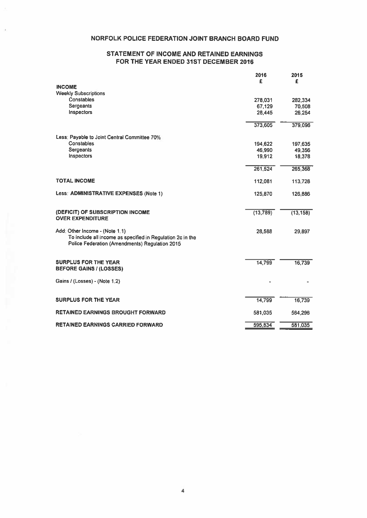# NORFOLK POLICE FEDERATION JOINT BRANCH BOARD FUND

# STATEMENT OF INCOME AND RETAINED EARNINGS FOR THE YEAR ENDED 31ST DECEMBER 2016

|                                                                                                              | 2016<br>£ | 2015<br>£ |
|--------------------------------------------------------------------------------------------------------------|-----------|-----------|
| <b>INCOME</b>                                                                                                |           |           |
| <b>Weekly Subscriptions</b>                                                                                  |           |           |
| Constables                                                                                                   | 278,031   | 282,334   |
| Sergeants                                                                                                    | 67,129    | 70,508    |
| Inspectors                                                                                                   | 28.445    | 26.254    |
|                                                                                                              | 373,605   | 379,096   |
| Less: Payable to Joint Central Committee 70%                                                                 |           |           |
| Constables                                                                                                   | 194,622   | 197,635   |
| Sergeants                                                                                                    | 46,990    | 49,356    |
| Inspectors                                                                                                   | 19,912    | 18,378    |
|                                                                                                              | 261,524   | 265,368   |
| <b>TOTAL INCOME</b>                                                                                          | 112,081   | 113,728   |
| Less: ADMINISTRATIVE EXPENSES (Note 1)                                                                       | 125,870   | 126,886   |
| (DEFICIT) OF SUBSCRIPTION INCOME                                                                             | (13, 789) | (13, 158) |
| <b>OVER EXPENDITURE</b>                                                                                      |           |           |
| Add: Other Income - (Note 1.1)                                                                               | 28,588    | 29,897    |
| To include all income as specified in Regulation 2c in the<br>Police Federation (Amendments) Regulation 2015 |           |           |
|                                                                                                              |           |           |
| <b>SURPLUS FOR THE YEAR</b><br><b>BEFORE GAINS / (LOSSES)</b>                                                | 14,799    | 16,739    |
| Gains / (Losses) - (Note 1.2)                                                                                |           |           |
|                                                                                                              |           |           |
| <b>SURPLUS FOR THE YEAR</b>                                                                                  | 14,799    | 16,739    |
| <b>RETAINED EARNINGS BROUGHT FORWARD</b>                                                                     | 581,035   | 564,296   |
| <b>RETAINED EARNINGS CARRIED FORWARD</b>                                                                     | 595,834   | 581,035   |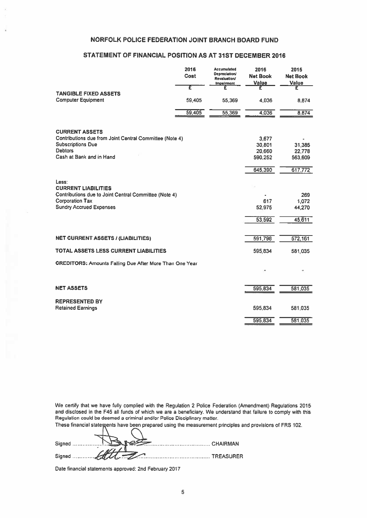# NORFOLK POLICE FEDERATION JOINT BRANCH BOARD FUND

# STATEMENT OF FINANCIAL POSITION AS AT 31ST DECEMBER 2016

| <b>NORFOLK POLICE FEDERATION JOINT BRANCH BOARD FUND</b>                         |              |                                                            |                         |                         |
|----------------------------------------------------------------------------------|--------------|------------------------------------------------------------|-------------------------|-------------------------|
|                                                                                  |              |                                                            |                         |                         |
| STATEMENT OF FINANCIAL POSITION AS AT 31ST DECEMBER 2016                         |              |                                                            |                         |                         |
|                                                                                  | 2016<br>Cost | Accumulated<br><b>Depreciation/</b><br><b>Revaluation/</b> | 2016<br><b>Net Book</b> | 2015<br><b>Net Book</b> |
|                                                                                  | τ            | <b>Impairment</b><br>£                                     | Value<br>£              | Value<br>£              |
| <b>TANGIBLE FIXED ASSETS</b><br><b>Computer Equipment</b>                        | 59,405       | 55,369                                                     | 4,036                   | 8,874                   |
|                                                                                  |              |                                                            |                         |                         |
|                                                                                  | 59,405       | 55,369                                                     | 4,036                   | 8,874                   |
|                                                                                  |              |                                                            |                         |                         |
| <b>CURRENT ASSETS</b><br>Contributions due from Joint Central Committee (Note 4) |              |                                                            |                         |                         |
| <b>Subscriptions Due</b>                                                         |              |                                                            | 3,677<br>30,801         | 31,385                  |
| <b>Debtors</b>                                                                   |              |                                                            | 20,660                  | 22,778                  |
| Cash at Bank and in Hand                                                         |              |                                                            | 590,252                 | 563,609                 |
|                                                                                  |              |                                                            | 645,390                 | 617,772                 |
| Less:                                                                            |              |                                                            |                         |                         |
| <b>CURRENT LIABILITIES</b>                                                       |              |                                                            |                         |                         |
| Contributions due to Joint Central Committee (Note 4)                            |              |                                                            |                         | 269                     |
| <b>Corporation Tax</b><br><b>Sundry Accrued Expenses</b>                         |              |                                                            | 617<br>52,975           | 1,072<br>44,270         |
|                                                                                  |              |                                                            |                         |                         |
|                                                                                  |              |                                                            | 53,592                  | 45,611                  |
|                                                                                  |              |                                                            |                         |                         |
| <b>NET CURRENT ASSETS / (LIABILITIES)</b>                                        |              |                                                            | 591,798                 | 572,161                 |
| TOTAL ASSETS LESS CURRENT LIABILITIES                                            |              |                                                            | 595,834                 | 581,035                 |
| <b>CREDITORS: Amounts Falling Due After More Than One Year</b>                   |              |                                                            |                         |                         |
|                                                                                  |              |                                                            |                         |                         |
|                                                                                  |              |                                                            |                         |                         |
| <b>NET ASSETS</b>                                                                |              |                                                            | 595,834                 | 581,035                 |
| <b>REPRESENTED BY</b>                                                            |              |                                                            |                         |                         |
| <b>Retained Earnings</b>                                                         |              |                                                            | 595,834                 | 581,035                 |
|                                                                                  |              |                                                            | 595,834                 | 581,035                 |
|                                                                                  |              |                                                            |                         |                         |

We certify that we have fully complied with the Regulation 2 Police Federation (Amendment) Regulations 2015 and disclosed in the F45 all funds of which we are a beneficiary. We understand that failure to comply with this Regulation could be deemed <sup>a</sup> criminal and/or Police Disciplinary matter.

These financial statements have been prepared using the measurement principles and provisions of FRS 102.

Date financial statements approved: 2nd February 2017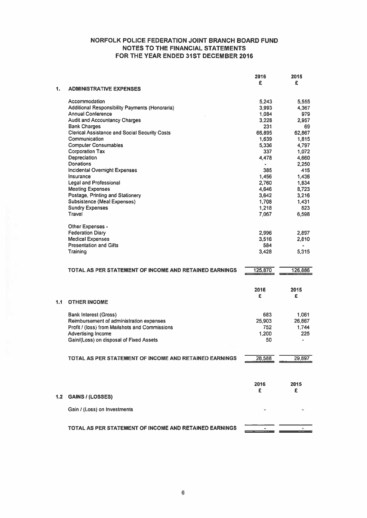# NORFOLK POLICE FEDERATION JOINT BRANCH BOARD FUND NOTES TO THE FINANCIAL STATEMENTS FOR THE YEAR ENDED 31ST DECEMBER 2016

|     |                                                               | 2016                    | 2015    |
|-----|---------------------------------------------------------------|-------------------------|---------|
|     |                                                               | £                       | £       |
| 1.  | <b>ADMINISTRATIVE EXPENSES</b>                                |                         |         |
|     | Accommodation                                                 | 5,243                   | 5,555   |
|     | Additional Responsibility Payments (Honoraria)                | 3.993                   | 4,367   |
|     | <b>Annual Conference</b>                                      | 1,084                   | 979     |
|     | <b>Audit and Accountancy Charges</b>                          | 3,228                   | 2.957   |
|     | <b>Bank Charges</b>                                           | 231                     | 69      |
|     | <b>Clerical Assistance and Social Security Costs</b>          | 66,895                  | 62,867  |
|     | Communication                                                 | 1.639                   | 1.815   |
|     | <b>Computer Consumables</b>                                   |                         |         |
|     | <b>Corporation Tax</b>                                        | 5,336<br>337            | 4,797   |
|     |                                                               |                         | 1,072   |
|     | Depreciation<br>Donations                                     | 4.478                   | 4,660   |
|     |                                                               | $\qquad \qquad \bullet$ | 2,250   |
|     | <b>Incidental Overnight Expenses</b>                          | 385                     | 415     |
|     | Insurance                                                     | 1,456                   | 1,436   |
|     | Legal and Professional                                        | 2.760                   | 1.834   |
|     | <b>Meeting Expenses</b>                                       | 4.646                   | 8.723   |
|     | Postage, Printing and Stationery                              | 3,642                   | 3,216   |
|     | <b>Subsistence (Meal Expenses)</b>                            | 1,708                   | 1,431   |
|     | <b>Sundry Expenses</b>                                        | 1,218                   | 823     |
|     | Travel                                                        | 7,067                   | 6,598   |
|     |                                                               |                         |         |
|     | Other Expenses -                                              |                         |         |
|     | <b>Federation Diary</b>                                       | 2,996                   | 2.897   |
|     | <b>Medical Expenses</b>                                       | 3.516                   | 2,810   |
|     | <b>Presentation and Gifts</b>                                 | 584                     | ۰       |
|     | Training                                                      | 3.428                   | 5,315   |
|     |                                                               |                         |         |
|     | TOTAL AS PER STATEMENT OF INCOME AND RETAINED EARNINGS        | 125,870                 | 126,886 |
|     |                                                               |                         |         |
|     |                                                               |                         |         |
|     |                                                               | 2016                    | 2015    |
|     |                                                               | £                       | £       |
| 1.1 | <b>OTHER INCOME</b>                                           |                         |         |
|     |                                                               |                         |         |
|     | <b>Bank Interest (Gross)</b>                                  | 683                     | 1,061   |
|     | Reimbursement of administration expenses                      | 25,903                  | 26,867  |
|     | Profit / (loss) from Mailshots and Commissions                | 752                     | 1,744   |
|     | <b>Advertising Income</b>                                     | 1.200                   | 225     |
|     | Gain/(Loss) on disposal of Fixed Assets                       | 50                      |         |
|     |                                                               |                         |         |
|     |                                                               |                         |         |
|     | TOTAL AS PER STATEMENT OF INCOME AND RETAINED EARNINGS        | 28,588                  | 29,897  |
|     |                                                               |                         |         |
|     |                                                               |                         |         |
|     |                                                               |                         |         |
|     |                                                               | 2016                    | 2015    |
|     |                                                               | £                       | £       |
| 1.2 | <b>GAINS / (LOSSES)</b>                                       |                         |         |
|     | Gain / (Loss) on Investments                                  |                         |         |
|     |                                                               |                         |         |
|     |                                                               |                         |         |
|     | <b>TOTAL AS PER STATEMENT OF INCOME AND RETAINED EARNINGS</b> |                         |         |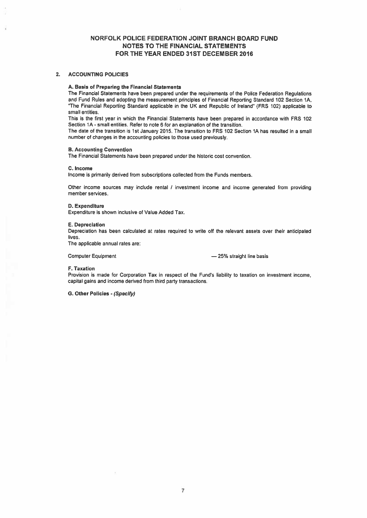# NORFOLK POLICE FEDERATION JOINT BRANCH BOARD FUND NOTES TO THE FINANCIAL STATEMENTS FOR THE YEAR ENDED 31ST DECEMBER 2016

### 2. ACCOUNTING POLICIES

#### A. Basis of Preparing the Financial Statements

The Financial Statements have been prepared under the requirements of the Police Federation Regulations and Fund Rules and adopting the measurement principles of Financial Reporting Standard 102 Section 1A. "The Financial Reporting Standard applicable in the UK and Republic of Ireland" (FRS 102) applicable to small entities.

This is the first year in which the Financial Statements have been prepared in accordance with FRS 102 Section 1A- small entities. Refer to note 6 for an explanation of the transition.

The date of the transition is 1st January 2015. The transition to FRS 102 Section 1A has resulted in <sup>a</sup> small number of changes in the accounting policies to those used previously.

#### B. Accounting Convention

The Financial Statements have been prepared under the historic cost convention.

#### C. Income

Income is primarily derived from subscriptions collected from the Funds members.

Other income sources may include rental / investment income and income generated from providing member services,

## D. Expenditure

Expenditure is shown inclusive of Value Added Tax.

#### E. Depreciation

Depreciation has been calculated at rates required to write off the relevant assets over their anticipated lives.

The applicable annual rates are:

Computer Equipment **25%** straight line basis

### F. Taxation

Provision is made for Corporation Tax in respect of the Fund's liability to taxation on investment income. capital gains and income derived from third party transactions.

S. Other Policies . (Specify)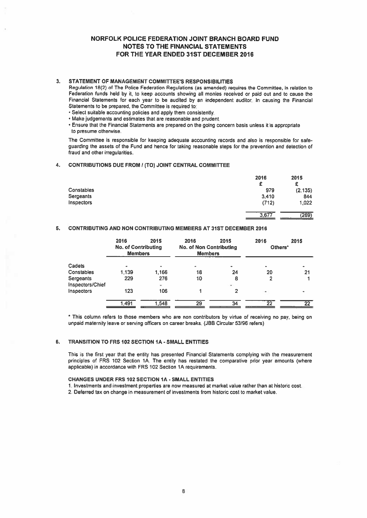# NORFOLK POLICE FEDERATION JOINT BRANCH BOARD FUND NOTES TO THE FINANCIAL STATEMENTS FOR THE YEAR ENDED 31ST DECEMBER 2016

## 3. STATEMENT OF MANAGEMENT COMMITTEE'S RESPONSIBILITIES

- Select suitable accounting policies and apply them consistently.
- Make judgements and estimates that are reasonable and prudent.
- Ensure that the Financial Statements are prepared on the going concern basis unless it is appropriate to presume otherwise.

# 4. CONTRIBUTIONS DUE FROM / (TO) JOINT CENTRAL COMMITTEE

|                                                                                                                                                                                                                                                                                                                                                                                                                                                                                                                                                                                                                                                                                                                               |                                               |      | <b>NORFOLK POLICE FEDERATION JOINT BRANCH BOARD FUND</b><br><b>NOTES TO THE FINANCIAL STATEMENTS</b><br>FOR THE YEAR ENDED 31ST DECEMBER 2016 |      |                  |                       |
|-------------------------------------------------------------------------------------------------------------------------------------------------------------------------------------------------------------------------------------------------------------------------------------------------------------------------------------------------------------------------------------------------------------------------------------------------------------------------------------------------------------------------------------------------------------------------------------------------------------------------------------------------------------------------------------------------------------------------------|-----------------------------------------------|------|-----------------------------------------------------------------------------------------------------------------------------------------------|------|------------------|-----------------------|
| STATEMENT OF MANAGEMENT COMMITTEE'S RESPONSIBILITIES<br>Regulation 18(2) of The Police Federation Regulations (as amended) requires the Committee, in relation to<br>Federation funds held by it, to keep accounts showing all monies received or paid out and to cause the<br>Financial Statements for each year to be audited by an independent auditor. In causing the Financial<br>Statements to be prepared, the Committee is required to:<br>. Select suitable accounting policies and apply them consistently.<br>. Make judgements and estimates that are reasonable and prudent.<br>. Ensure that the Financial Statements are prepared on the going concern basis unless it is appropriate<br>to presume otherwise. |                                               |      |                                                                                                                                               |      |                  |                       |
| The Committee is responsible for keeping adequate accounting records and also is responsible for safe-<br>guarding the assets of the Fund and hence for taking reasonable steps for the prevention and detection of<br>fraud and other irregularities.                                                                                                                                                                                                                                                                                                                                                                                                                                                                        |                                               |      |                                                                                                                                               |      |                  |                       |
| <b>CONTRIBUTIONS DUE FROM / (TO) JOINT CENTRAL COMMITTEE</b>                                                                                                                                                                                                                                                                                                                                                                                                                                                                                                                                                                                                                                                                  |                                               |      |                                                                                                                                               |      |                  |                       |
| Constables                                                                                                                                                                                                                                                                                                                                                                                                                                                                                                                                                                                                                                                                                                                    |                                               |      |                                                                                                                                               |      | 2016<br>£<br>979 | 2015<br>£<br>(2, 135) |
| Sergeants                                                                                                                                                                                                                                                                                                                                                                                                                                                                                                                                                                                                                                                                                                                     |                                               |      |                                                                                                                                               |      | 3,410            | 844                   |
| Inspectors                                                                                                                                                                                                                                                                                                                                                                                                                                                                                                                                                                                                                                                                                                                    |                                               |      |                                                                                                                                               |      | (712)            | 1.022                 |
|                                                                                                                                                                                                                                                                                                                                                                                                                                                                                                                                                                                                                                                                                                                               |                                               |      |                                                                                                                                               |      | 3,677            | (269)                 |
| <b>CONTRIBUTING AND NON CONTRIBUTING MEMBERS AT 31ST DECEMBER 2016</b>                                                                                                                                                                                                                                                                                                                                                                                                                                                                                                                                                                                                                                                        |                                               |      |                                                                                                                                               |      |                  |                       |
|                                                                                                                                                                                                                                                                                                                                                                                                                                                                                                                                                                                                                                                                                                                               | 2016<br><b>No. of Contributing</b><br>Members | 2015 | 2016<br><b>No. of Non Contributing</b><br>Members                                                                                             | 2015 | 2016<br>Others'  | 2015                  |

# 5. CONTRIBUTING AND NON CONTRIBUTING MEMBERS AT 31ST DECEMBER 2016

|                               | 2016<br><b>No. of Contributing</b><br><b>Members</b> | 2015     | 2016<br><b>No. of Non Contributing</b><br><b>Members</b> | 2015  | 2016<br>Others* | 2015            |
|-------------------------------|------------------------------------------------------|----------|----------------------------------------------------------|-------|-----------------|-----------------|
| Cadets                        |                                                      |          | ۰                                                        |       | ۰               |                 |
| Constables                    | 1.139                                                | 1,166    | 18                                                       | 24    | 20              | 21              |
| Sergeants<br>Inspectors/Chief | 229                                                  | 276<br>÷ | 10                                                       | 8<br> | 2               |                 |
| Inspectors                    | 123                                                  | 106      |                                                          |       | ۰               |                 |
|                               | 1.491                                                | 1.548    | 29                                                       | 34    | 22              | $\overline{22}$ |

This column refers to those members who are non contributors by virtue of receiving no pay, being on unpaid maternity leave or serving officers on career breaks. (JBB Circular 53/96 refers)

## 6. TRANSITION TO FRS 102 SECTION IA - SMALL ENTITIES

This is the first year that the entity has presented Financial Statements complying with the measurement principles of FRS 102 Section 1A. The entity has restated the comparative prior year amounts (where applicable) in accordance with FRS 102 Section 1A requirements.

## CHANGES UNDER FRS 102 SECTION IA - SMALL ENTITIES

1. Investments and investment properties are now measured at market value rather than at historic cost.

2. Deferred tax on change in measurement of investments from historic cost to market value.